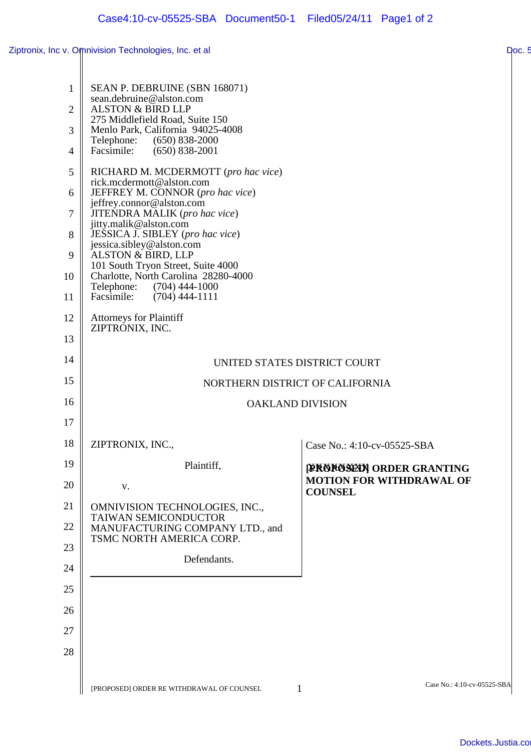| $\mathbf{1}$   | SEAN P. DEBRUINE (SBN 168071)                                              |                                                   |
|----------------|----------------------------------------------------------------------------|---------------------------------------------------|
| $\overline{2}$ | sean.debruine@alston.com<br><b>ALSTON &amp; BIRD LLP</b>                   |                                                   |
| 3              | 275 Middlefield Road, Suite 150<br>Menlo Park, California 94025-4008       |                                                   |
| $\overline{4}$ | Telephone:<br>$(650)$ 838-2000<br>Facsimile:<br>$(650)$ 838-2001           |                                                   |
| 5              | RICHARD M. MCDERMOTT (pro hac vice)                                        |                                                   |
| 6              | rick.mcdermott@alston.com<br>JEFFREY M. CONNOR (pro hac vice)              |                                                   |
| 7              | jeffrey.connor@alston.com<br>JITENDRA MALIK (pro hac vice)                 |                                                   |
| 8              | jitty.malik@alston.com<br>JESSICA J. SIBLEY (pro hac vice)                 |                                                   |
| 9              | jessica.sibley@alston.com<br>ALSTON & BIRD, LLP                            |                                                   |
| 10             | 101 South Tryon Street, Suite 4000<br>Charlotte, North Carolina 28280-4000 |                                                   |
| 11             | Telephone: (704) 444-1000<br>Facsimile:<br>$(704)$ 444-1111                |                                                   |
| 12             | <b>Attorneys for Plaintiff</b>                                             |                                                   |
| 13             | ZIPTRONIX, INC.                                                            |                                                   |
| 14             | UNITED STATES DISTRICT COURT                                               |                                                   |
| 15             | NORTHERN DISTRICT OF CALIFORNIA                                            |                                                   |
| 16             | <b>OAKLAND DIVISION</b>                                                    |                                                   |
| 17             |                                                                            |                                                   |
| 18             | ZIPTRONIX, INC.,                                                           | Case No.: 4:10-cv-05525-SBA                       |
| 19             | Plaintiff,                                                                 | <b>TREBROSENN ORDER GRANTING</b>                  |
| 20             | V.                                                                         | <b>MOTION FOR WITHDRAWAL OF</b><br><b>COUNSEL</b> |
| 21             | OMNIVISION TECHNOLOGIES, INC.,<br>TAIWAN SEMICONDUCTOR                     |                                                   |
| 22             | MANUFACTURING COMPANY LTD., and<br>TSMC NORTH AMERICA CORP.                |                                                   |
| 23             | Defendants.                                                                |                                                   |
| 24             |                                                                            |                                                   |
| 25             |                                                                            |                                                   |
| 26             |                                                                            |                                                   |
| 27             |                                                                            |                                                   |
| 28             |                                                                            |                                                   |
|                | [PROPOSED] ORDER RE WITHDRAWAL OF COUNSEL                                  | Case No.: 4:10-cv-05525-SBA<br>1                  |
|                |                                                                            |                                                   |